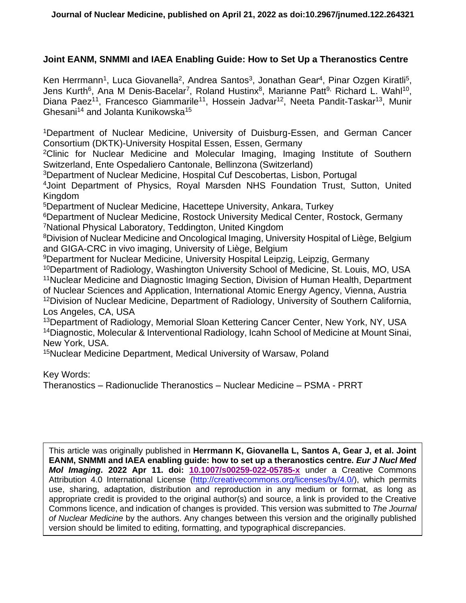# **Joint EANM, SNMMI and IAEA Enabling Guide: How to Set Up a Theranostics Centre**

Ken Herrmann<sup>1</sup>, Luca Giovanella<sup>2</sup>, Andrea Santos<sup>3</sup>, Jonathan Gear<sup>4</sup>, Pinar Ozgen Kiratli<sup>5</sup>, Jens Kurth<sup>6</sup>, Ana M Denis-Bacelar<sup>7</sup>, Roland Hustinx<sup>8</sup>, Marianne Patt<sup>9,</sup> Richard L. Wahl<sup>10</sup>, Diana Paez<sup>11</sup>, Francesco Giammarile<sup>11</sup>, Hossein Jadvar<sup>12</sup>, Neeta Pandit-Taskar<sup>13</sup>, Munir Ghesani<sup>14</sup> and Jolanta Kunikowska<sup>15</sup>

<sup>1</sup>Department of Nuclear Medicine, University of Duisburg-Essen, and German Cancer Consortium (DKTK)-University Hospital Essen, Essen, Germany

<sup>2</sup>Clinic for Nuclear Medicine and Molecular Imaging, Imaging Institute of Southern Switzerland, Ente Ospedaliero Cantonale, Bellinzona (Switzerland)

<sup>3</sup>Department of Nuclear Medicine, Hospital Cuf Descobertas, Lisbon, Portugal

<sup>4</sup>Joint Department of Physics, Royal Marsden NHS Foundation Trust, Sutton, United Kingdom

<sup>5</sup>Department of Nuclear Medicine, Hacettepe University, Ankara, Turkey

<sup>6</sup>Department of Nuclear Medicine, Rostock University Medical Center, Rostock, Germany <sup>7</sup>National Physical Laboratory, Teddington, United Kingdom

<sup>8</sup>Division of Nuclear Medicine and Oncological Imaging, University Hospital of Liège, Belgium and GIGA-CRC in vivo imaging, University of Liège, Belgium

<sup>9</sup>Department for Nuclear Medicine, University Hospital Leipzig, Leipzig, Germany

<sup>10</sup>Department of Radiology, Washington University School of Medicine, St. Louis, MO, USA <sup>11</sup>Nuclear Medicine and Diagnostic Imaging Section, Division of Human Health, Department of Nuclear Sciences and Application, International Atomic Energy Agency, Vienna, Austria <sup>12</sup> Division of Nuclear Medicine, Department of Radiology, University of Southern California, Los Angeles, CA, USA

<sup>13</sup>Department of Radiology, Memorial Sloan Kettering Cancer Center, New York, NY, USA <sup>14</sup>Diagnostic, Molecular & Interventional Radiology, Icahn School of Medicine at Mount Sinai, New York, USA.

<sup>15</sup>Nuclear Medicine Department, Medical University of Warsaw, Poland

Key Words:

Theranostics – Radionuclide Theranostics – Nuclear Medicine – PSMA - PRRT

This article was originally published in **Herrmann K, Giovanella L, Santos A, Gear J, et al. Joint EANM, SNMMI and IAEA enabling guide: how to set up a theranostics centre.** *Eur J Nucl Med Mol Imaging***. 2022 Apr 11. doi: [10.1007/s00259-022-05785-x](https://doi.org/10.1007/s00259-022-05785-x)** under a Creative Commons Attribution 4.0 International License [\(http://creativecommons.org/licenses/by/4.0/\)](http://creativecommons.org/licenses/by/4.0/), which permits use, sharing, adaptation, distribution and reproduction in any medium or format, as long as appropriate credit is provided to the original author(s) and source, a link is provided to the Creative Commons licence, and indication of changes is provided. This version was submitted to *The Journal of Nuclear Medicine* by the authors. Any changes between this version and the originally published version should be limited to editing, formatting, and typographical discrepancies.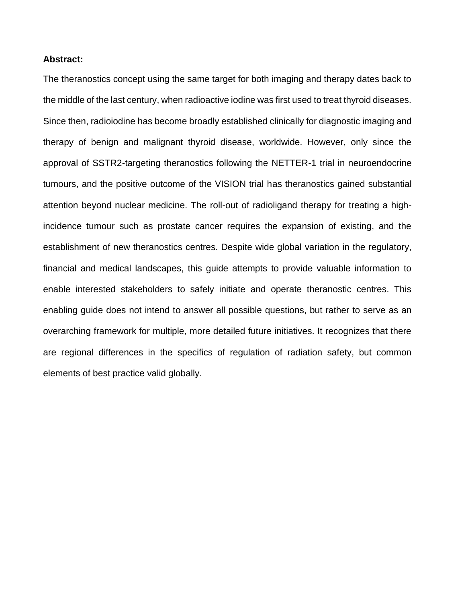## **Abstract:**

The theranostics concept using the same target for both imaging and therapy dates back to the middle of the last century, when radioactive iodine was first used to treat thyroid diseases. Since then, radioiodine has become broadly established clinically for diagnostic imaging and therapy of benign and malignant thyroid disease, worldwide. However, only since the approval of SSTR2-targeting theranostics following the NETTER-1 trial in neuroendocrine tumours, and the positive outcome of the VISION trial has theranostics gained substantial attention beyond nuclear medicine. The roll-out of radioligand therapy for treating a highincidence tumour such as prostate cancer requires the expansion of existing, and the establishment of new theranostics centres. Despite wide global variation in the regulatory, financial and medical landscapes, this guide attempts to provide valuable information to enable interested stakeholders to safely initiate and operate theranostic centres. This enabling guide does not intend to answer all possible questions, but rather to serve as an overarching framework for multiple, more detailed future initiatives. It recognizes that there are regional differences in the specifics of regulation of radiation safety, but common elements of best practice valid globally.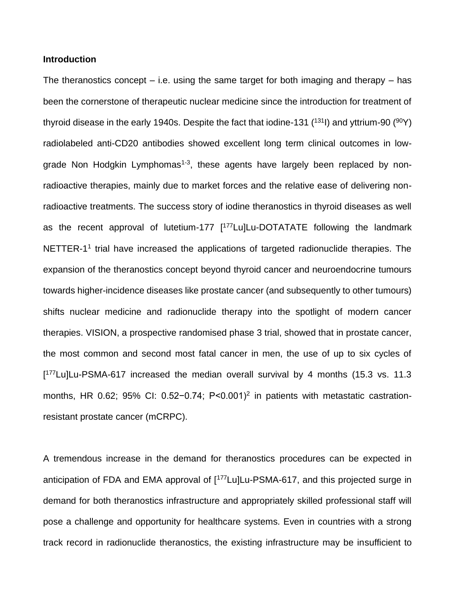### **Introduction**

The theranostics concept  $-$  i.e. using the same target for both imaging and therapy  $-$  has been the cornerstone of therapeutic nuclear medicine since the introduction for treatment of thyroid disease in the early 1940s. Despite the fact that iodine-131  $(131)$  and yttrium-90  $(90)$ radiolabeled anti-CD20 antibodies showed excellent long term clinical outcomes in lowgrade Non Hodgkin Lymphomas<sup>1-3</sup>, these agents have largely been replaced by nonradioactive therapies, mainly due to market forces and the relative ease of delivering nonradioactive treatments. The success story of iodine theranostics in thyroid diseases as well as the recent approval of lutetium-177 [<sup>177</sup>Lu]Lu-DOTATATE following the landmark NETTER-1<sup>1</sup> trial have increased the applications of targeted radionuclide therapies. The expansion of the theranostics concept beyond thyroid cancer and neuroendocrine tumours towards higher-incidence diseases like prostate cancer (and subsequently to other tumours) shifts nuclear medicine and radionuclide therapy into the spotlight of modern cancer therapies. VISION, a prospective randomised phase 3 trial, showed that in prostate cancer, the most common and second most fatal cancer in men, the use of up to six cycles of [ <sup>177</sup>Lu]Lu-PSMA-617 increased the median overall survival by 4 months (15.3 vs. 11.3 months, HR 0.62; 95% CI: 0.52-0.74; P<0.001)<sup>2</sup> in patients with metastatic castrationresistant prostate cancer (mCRPC).

A tremendous increase in the demand for theranostics procedures can be expected in anticipation of FDA and EMA approval of [<sup>177</sup>Lu]Lu-PSMA-617, and this projected surge in demand for both theranostics infrastructure and appropriately skilled professional staff will pose a challenge and opportunity for healthcare systems. Even in countries with a strong track record in radionuclide theranostics, the existing infrastructure may be insufficient to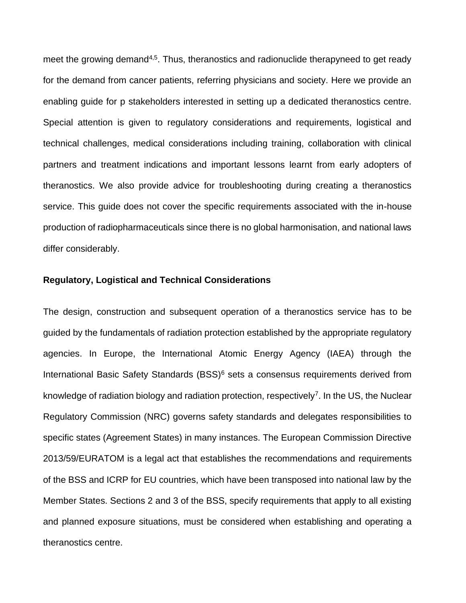meet the growing demand<sup>4,5</sup>. Thus, theranostics and radionuclide therapyneed to get ready for the demand from cancer patients, referring physicians and society. Here we provide an enabling guide for p stakeholders interested in setting up a dedicated theranostics centre. Special attention is given to regulatory considerations and requirements, logistical and technical challenges, medical considerations including training, collaboration with clinical partners and treatment indications and important lessons learnt from early adopters of theranostics. We also provide advice for troubleshooting during creating a theranostics service. This guide does not cover the specific requirements associated with the in-house production of radiopharmaceuticals since there is no global harmonisation, and national laws differ considerably.

## **Regulatory, Logistical and Technical Considerations**

The design, construction and subsequent operation of a theranostics service has to be guided by the fundamentals of radiation protection established by the appropriate regulatory agencies. In Europe, the International Atomic Energy Agency (IAEA) through the International Basic Safety Standards (BSS)<sup>6</sup> sets a consensus requirements derived from knowledge of radiation biology and radiation protection, respectively<sup>7</sup>. In the US, the Nuclear Regulatory Commission (NRC) governs safety standards and delegates responsibilities to specific states (Agreement States) in many instances. The European Commission Directive 2013/59/EURATOM is a legal act that establishes the recommendations and requirements of the BSS and ICRP for EU countries, which have been transposed into national law by the Member States. Sections 2 and 3 of the BSS, specify requirements that apply to all existing and planned exposure situations, must be considered when establishing and operating a theranostics centre.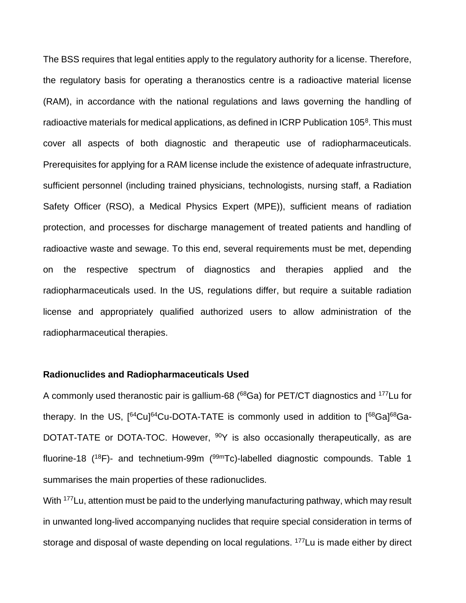The BSS requires that legal entities apply to the regulatory authority for a license. Therefore, the regulatory basis for operating a theranostics centre is a radioactive material license (RAM), in accordance with the national regulations and laws governing the handling of radioactive materials for medical applications, as defined in ICRP Publication 105<sup>8</sup>. This must cover all aspects of both diagnostic and therapeutic use of radiopharmaceuticals. Prerequisites for applying for a RAM license include the existence of adequate infrastructure, sufficient personnel (including trained physicians, technologists, nursing staff, a Radiation Safety Officer (RSO), a Medical Physics Expert (MPE)), sufficient means of radiation protection, and processes for discharge management of treated patients and handling of radioactive waste and sewage. To this end, several requirements must be met, depending on the respective spectrum of diagnostics and therapies applied and the radiopharmaceuticals used. In the US, regulations differ, but require a suitable radiation license and appropriately qualified authorized users to allow administration of the radiopharmaceutical therapies.

# **Radionuclides and Radiopharmaceuticals Used**

A commonly used theranostic pair is gallium-68 (<sup>68</sup>Ga) for PET/CT diagnostics and <sup>177</sup>Lu for therapy. In the US,  $[64\text{Cu}]^{64}$ Cu-DOTA-TATE is commonly used in addition to  $[68\text{Ga}]^{68}$ Ga-DOTAT-TATE or DOTA-TOC. However, <sup>90</sup>Y is also occasionally therapeutically, as are fluorine-18 ( $^{18}F$ )- and technetium-99m ( $^{99m}Tc$ )-labelled diagnostic compounds. Table 1 summarises the main properties of these radionuclides.

With <sup>177</sup>Lu, attention must be paid to the underlying manufacturing pathway, which may result in unwanted long-lived accompanying nuclides that require special consideration in terms of storage and disposal of waste depending on local regulations. <sup>177</sup>Lu is made either by direct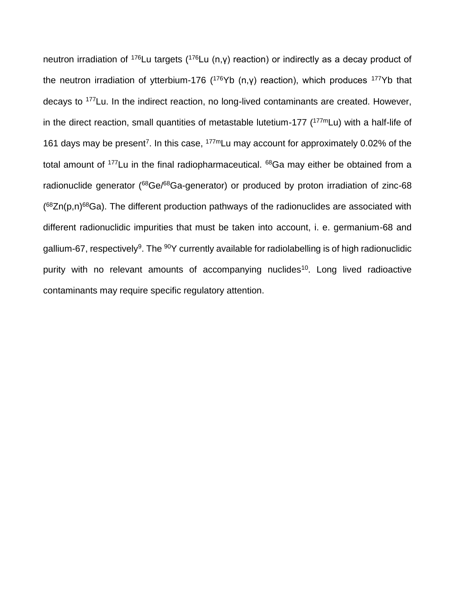neutron irradiation of <sup>176</sup>Lu targets (<sup>176</sup>Lu (n,γ) reaction) or indirectly as a decay product of the neutron irradiation of ytterbium-176 ( $176Yb$  (n,y) reaction), which produces  $177Yb$  that decays to <sup>177</sup>Lu. In the indirect reaction, no long-lived contaminants are created. However, in the direct reaction, small quantities of metastable lutetium-177 ( $177 \text{ m}$ Lu) with a half-life of 161 days may be present<sup>7</sup>. In this case,  $177$ <sup>m</sup>Lu may account for approximately 0.02% of the total amount of <sup>177</sup>Lu in the final radiopharmaceutical. <sup>68</sup>Ga may either be obtained from a radionuclide generator (<sup>68</sup>Ge/<sup>68</sup>Ga-generator) or produced by proton irradiation of zinc-68  $(68Zn(p,n)$ <sup>68</sup>Ga). The different production pathways of the radionuclides are associated with different radionuclidic impurities that must be taken into account, i. e. germanium-68 and gallium-67, respectively<sup>9</sup>. The <sup>90</sup>Y currently available for radiolabelling is of high radionuclidic purity with no relevant amounts of accompanying nuclides<sup>10</sup>. Long lived radioactive contaminants may require specific regulatory attention.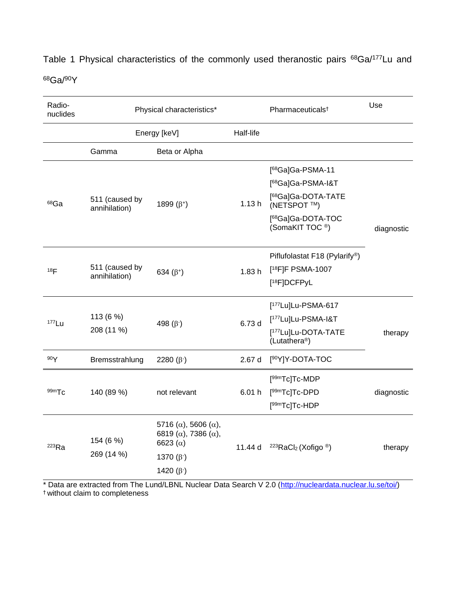| Radio-<br>nuclides | Physical characteristics*       |                                                                                                   |           | Pharmaceuticals <sup>t</sup>                                  | Use        |
|--------------------|---------------------------------|---------------------------------------------------------------------------------------------------|-----------|---------------------------------------------------------------|------------|
|                    | Energy [keV]                    |                                                                                                   | Half-life |                                                               |            |
|                    | Gamma                           | Beta or Alpha                                                                                     |           |                                                               |            |
| 68Ga               | 511 (caused by<br>annihilation) | 1899 $(\beta^+)$                                                                                  | 1.13h     | [ <sup>68</sup> Ga]Ga-PSMA-11                                 |            |
|                    |                                 |                                                                                                   |           | [ <sup>68</sup> Ga]Ga-PSMA-I&T                                |            |
|                    |                                 |                                                                                                   |           | [ <sup>68</sup> Ga]Ga-DOTA-TATE<br>(NETSPOT <sup>™</sup> )    |            |
|                    |                                 |                                                                                                   |           | [ <sup>68</sup> Ga]Ga-DOTA-TOC<br>(SomaKIT TOC <sup>®</sup> ) | diagnostic |
| 18 <sub>F</sub>    | 511 (caused by<br>annihilation) | 634 $(\beta^+)$                                                                                   | 1.83h     | Piflufolastat F18 (Pylarify <sup>®</sup> )                    |            |
|                    |                                 |                                                                                                   |           | [ <sup>18</sup> F]F PSMA-1007                                 |            |
|                    |                                 |                                                                                                   |           | [ <sup>18</sup> F]DCFPyL                                      |            |
| $177$ Lu           | 113 (6 %)<br>208 (11 %)         | 498 $(\beta)$                                                                                     | 6.73 d    | [ <sup>177</sup> Lu]Lu-PSMA-617                               |            |
|                    |                                 |                                                                                                   |           | [ <sup>177</sup> Lu]Lu-PSMA-I&T                               |            |
|                    |                                 |                                                                                                   |           | [ <sup>177</sup> Lu]Lu-DOTA-TATE<br>(Lutathera <sup>®</sup> ) | therapy    |
| 90Y                | Bremsstrahlung                  | 2280 $(\beta)$                                                                                    | 2.67d     | [ <sup>90</sup> Y]Y-DOTA-TOC                                  |            |
| $99m$ Tc           | 140 (89 %)                      | not relevant                                                                                      | 6.01h     | [99mTc]Tc-MDP                                                 |            |
|                    |                                 |                                                                                                   |           | [99mTc]Tc-DPD                                                 | diagnostic |
|                    |                                 |                                                                                                   |           | [99mTc]Tc-HDP                                                 |            |
| 223Ra              | 154 (6 %)<br>269 (14 %)         | 5716 ( $\alpha$ ), 5606 ( $\alpha$ ),<br>6819 ( $\alpha$ ), 7386 ( $\alpha$ ),<br>6623 $(\alpha)$ | 11.44 d   | <sup>223</sup> RaCl <sub>2</sub> (Xofigo <sup>®</sup> )       | therapy    |
|                    |                                 | 1370 $(\beta)$                                                                                    |           |                                                               |            |
|                    |                                 | 1420 $(\beta)$                                                                                    |           |                                                               |            |

Table 1 Physical characteristics of the commonly used theranostic pairs <sup>68</sup>Ga/<sup>177</sup>Lu and <sup>68</sup>Ga/<sup>90</sup>Y

\* Data are extracted from The Lund/LBNL Nuclear Data Search V 2.0 [\(http://nucleardata.nuclear.lu.se/toi/\)](http://nucleardata.nuclear.lu.se/toi/) † without claim to completeness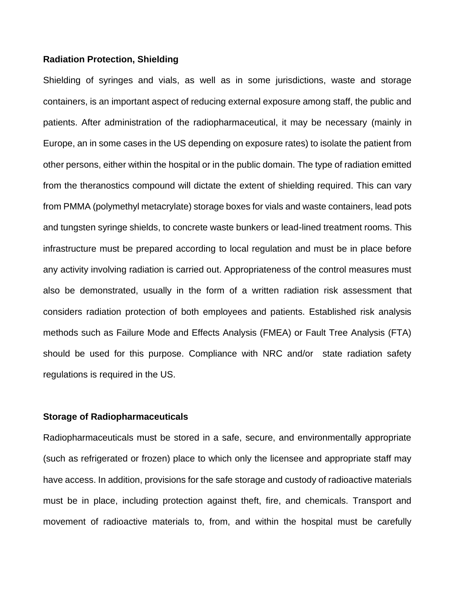### **Radiation Protection, Shielding**

Shielding of syringes and vials, as well as in some jurisdictions, waste and storage containers, is an important aspect of reducing external exposure among staff, the public and patients. After administration of the radiopharmaceutical, it may be necessary (mainly in Europe, an in some cases in the US depending on exposure rates) to isolate the patient from other persons, either within the hospital or in the public domain. The type of radiation emitted from the theranostics compound will dictate the extent of shielding required. This can vary from PMMA (polymethyl metacrylate) storage boxes for vials and waste containers, lead pots and tungsten syringe shields, to concrete waste bunkers or lead-lined treatment rooms. This infrastructure must be prepared according to local regulation and must be in place before any activity involving radiation is carried out. Appropriateness of the control measures must also be demonstrated, usually in the form of a written radiation risk assessment that considers radiation protection of both employees and patients. Established risk analysis methods such as Failure Mode and Effects Analysis (FMEA) or Fault Tree Analysis (FTA) should be used for this purpose. Compliance with NRC and/or state radiation safety regulations is required in the US.

#### **Storage of Radiopharmaceuticals**

Radiopharmaceuticals must be stored in a safe, secure, and environmentally appropriate (such as refrigerated or frozen) place to which only the licensee and appropriate staff may have access. In addition, provisions for the safe storage and custody of radioactive materials must be in place, including protection against theft, fire, and chemicals. Transport and movement of radioactive materials to, from, and within the hospital must be carefully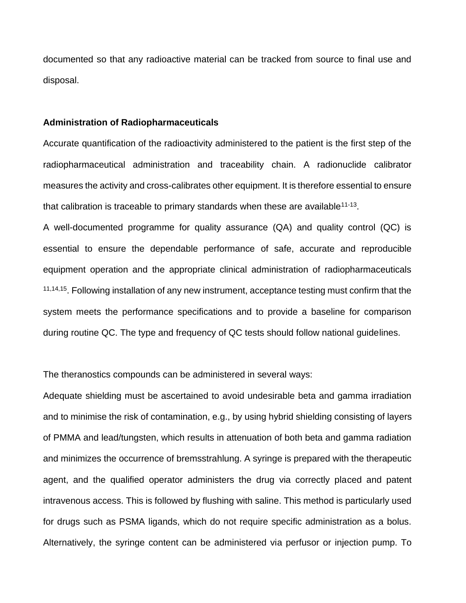documented so that any radioactive material can be tracked from source to final use and disposal.

#### **Administration of Radiopharmaceuticals**

Accurate quantification of the radioactivity administered to the patient is the first step of the radiopharmaceutical administration and traceability chain. A radionuclide calibrator measures the activity and cross-calibrates other equipment. It is therefore essential to ensure that calibration is traceable to primary standards when these are available<sup>11-13</sup>.

A well-documented programme for quality assurance (QA) and quality control (QC) is essential to ensure the dependable performance of safe, accurate and reproducible equipment operation and the appropriate clinical administration of radiopharmaceuticals <sup>11,14,15</sup>. Following installation of any new instrument, acceptance testing must confirm that the system meets the performance specifications and to provide a baseline for comparison during routine QC. The type and frequency of QC tests should follow national guidelines.

The theranostics compounds can be administered in several ways:

Adequate shielding must be ascertained to avoid undesirable beta and gamma irradiation and to minimise the risk of contamination, e.g., by using hybrid shielding consisting of layers of PMMA and lead/tungsten, which results in attenuation of both beta and gamma radiation and minimizes the occurrence of bremsstrahlung. A syringe is prepared with the therapeutic agent, and the qualified operator administers the drug via correctly placed and patent intravenous access. This is followed by flushing with saline. This method is particularly used for drugs such as PSMA ligands, which do not require specific administration as a bolus. Alternatively, the syringe content can be administered via perfusor or injection pump. To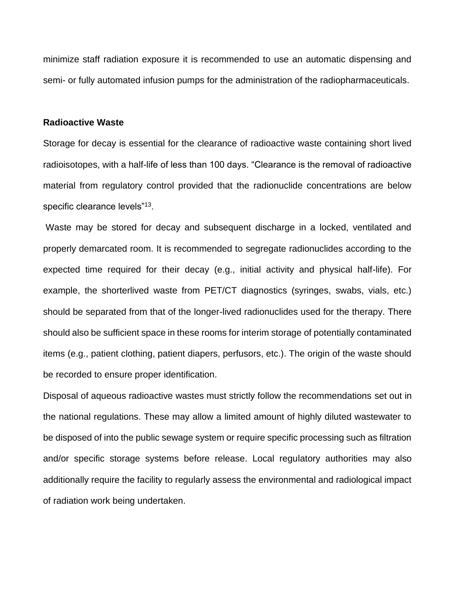minimize staff radiation exposure it is recommended to use an automatic dispensing and semi- or fully automated infusion pumps for the administration of the radiopharmaceuticals.

### **Radioactive Waste**

Storage for decay is essential for the clearance of radioactive waste containing short lived radioisotopes, with a half-life of less than 100 days. "Clearance is the removal of radioactive material from regulatory control provided that the radionuclide concentrations are below specific clearance levels"<sup>13</sup>.

Waste may be stored for decay and subsequent discharge in a locked, ventilated and properly demarcated room. It is recommended to segregate radionuclides according to the expected time required for their decay (e.g., initial activity and physical half-life). For example, the shorterlived waste from PET/CT diagnostics (syringes, swabs, vials, etc.) should be separated from that of the longer-lived radionuclides used for the therapy. There should also be sufficient space in these rooms for interim storage of potentially contaminated items (e.g., patient clothing, patient diapers, perfusors, etc.). The origin of the waste should be recorded to ensure proper identification.

Disposal of aqueous radioactive wastes must strictly follow the recommendations set out in the national regulations. These may allow a limited amount of highly diluted wastewater to be disposed of into the public sewage system or require specific processing such as filtration and/or specific storage systems before release. Local regulatory authorities may also additionally require the facility to regularly assess the environmental and radiological impact of radiation work being undertaken.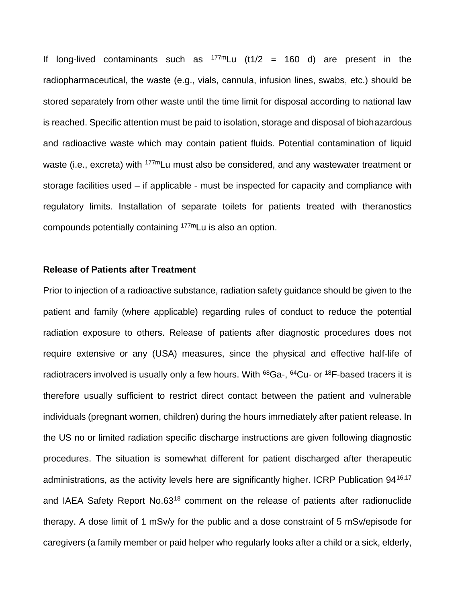If long-lived contaminants such as  $177 \text{ m}$ Lu (t1/2 = 160 d) are present in the radiopharmaceutical, the waste (e.g., vials, cannula, infusion lines, swabs, etc.) should be stored separately from other waste until the time limit for disposal according to national law is reached. Specific attention must be paid to isolation, storage and disposal of biohazardous and radioactive waste which may contain patient fluids. Potential contamination of liquid waste (i.e., excreta) with <sup>177m</sup>Lu must also be considered, and any wastewater treatment or storage facilities used – if applicable - must be inspected for capacity and compliance with regulatory limits. Installation of separate toilets for patients treated with theranostics compounds potentially containing 177mLu is also an option.

### **Release of Patients after Treatment**

Prior to injection of a radioactive substance, radiation safety guidance should be given to the patient and family (where applicable) regarding rules of conduct to reduce the potential radiation exposure to others. Release of patients after diagnostic procedures does not require extensive or any (USA) measures, since the physical and effective half-life of radiotracers involved is usually only a few hours. With <sup>68</sup>Ga-, <sup>64</sup>Cu- or <sup>18</sup>F-based tracers it is therefore usually sufficient to restrict direct contact between the patient and vulnerable individuals (pregnant women, children) during the hours immediately after patient release. In the US no or limited radiation specific discharge instructions are given following diagnostic procedures. The situation is somewhat different for patient discharged after therapeutic administrations, as the activity levels here are significantly higher. ICRP Publication 94<sup>16,17</sup> and IAEA Safety Report No.63<sup>18</sup> comment on the release of patients after radionuclide therapy. A dose limit of 1 mSv/y for the public and a dose constraint of 5 mSv/episode for caregivers (a family member or paid helper who regularly looks after a child or a sick, elderly,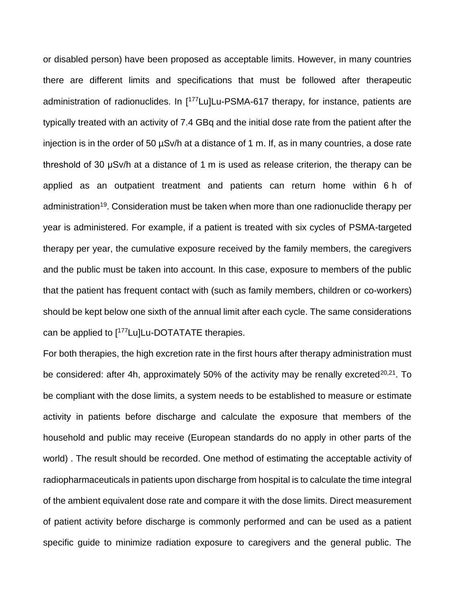or disabled person) have been proposed as acceptable limits. However, in many countries there are different limits and specifications that must be followed after therapeutic administration of radionuclides. In [<sup>177</sup>Lu]Lu-PSMA-617 therapy, for instance, patients are typically treated with an activity of 7.4 GBq and the initial dose rate from the patient after the injection is in the order of 50 µSv/h at a distance of 1 m. If, as in many countries, a dose rate threshold of 30 μSv/h at a distance of 1 m is used as release criterion, the therapy can be applied as an outpatient treatment and patients can return home within 6 h of administration<sup>19</sup>. Consideration must be taken when more than one radionuclide therapy per year is administered. For example, if a patient is treated with six cycles of PSMA-targeted therapy per year, the cumulative exposure received by the family members, the caregivers and the public must be taken into account. In this case, exposure to members of the public that the patient has frequent contact with (such as family members, children or co-workers) should be kept below one sixth of the annual limit after each cycle. The same considerations can be applied to [<sup>177</sup>Lu]Lu-DOTATATE therapies.

For both therapies, the high excretion rate in the first hours after therapy administration must be considered: after 4h, approximately 50% of the activity may be renally excreted<sup>20,21</sup>. To be compliant with the dose limits, a system needs to be established to measure or estimate activity in patients before discharge and calculate the exposure that members of the household and public may receive (European standards do no apply in other parts of the world) . The result should be recorded. One method of estimating the acceptable activity of radiopharmaceuticals in patients upon discharge from hospital is to calculate the time integral of the ambient equivalent dose rate and compare it with the dose limits. Direct measurement of patient activity before discharge is commonly performed and can be used as a patient specific guide to minimize radiation exposure to caregivers and the general public. The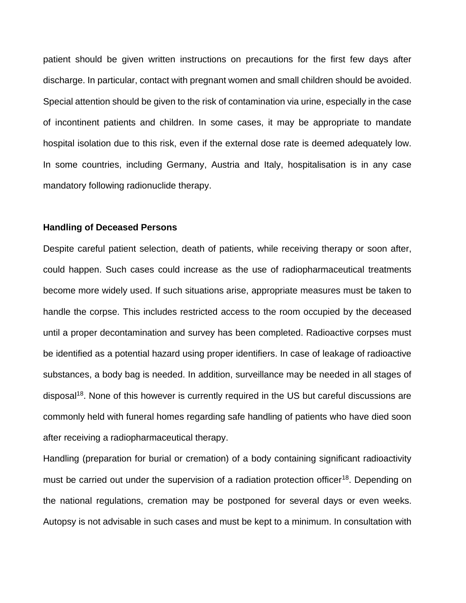patient should be given written instructions on precautions for the first few days after discharge. In particular, contact with pregnant women and small children should be avoided. Special attention should be given to the risk of contamination via urine, especially in the case of incontinent patients and children. In some cases, it may be appropriate to mandate hospital isolation due to this risk, even if the external dose rate is deemed adequately low. In some countries, including Germany, Austria and Italy, hospitalisation is in any case mandatory following radionuclide therapy.

### **Handling of Deceased Persons**

Despite careful patient selection, death of patients, while receiving therapy or soon after, could happen. Such cases could increase as the use of radiopharmaceutical treatments become more widely used. If such situations arise, appropriate measures must be taken to handle the corpse. This includes restricted access to the room occupied by the deceased until a proper decontamination and survey has been completed. Radioactive corpses must be identified as a potential hazard using proper identifiers. In case of leakage of radioactive substances, a body bag is needed. In addition, surveillance may be needed in all stages of disposal<sup>18</sup>. None of this however is currently required in the US but careful discussions are commonly held with funeral homes regarding safe handling of patients who have died soon after receiving a radiopharmaceutical therapy.

Handling (preparation for burial or cremation) of a body containing significant radioactivity must be carried out under the supervision of a radiation protection officer<sup>18</sup>. Depending on the national regulations, cremation may be postponed for several days or even weeks. Autopsy is not advisable in such cases and must be kept to a minimum. In consultation with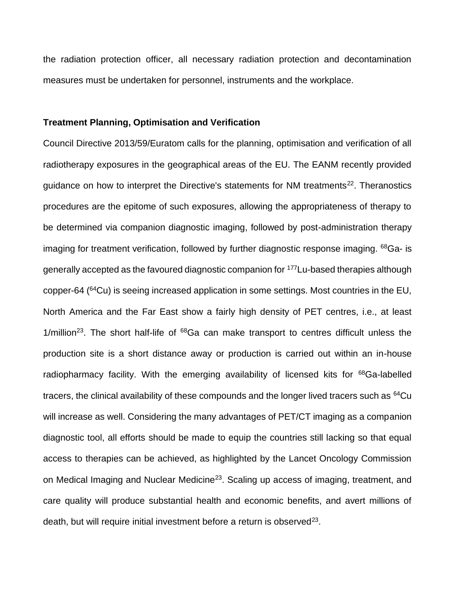the radiation protection officer, all necessary radiation protection and decontamination measures must be undertaken for personnel, instruments and the workplace.

# **Treatment Planning, Optimisation and Verification**

Council Directive 2013/59/Euratom calls for the planning, optimisation and verification of all radiotherapy exposures in the geographical areas of the EU. The EANM recently provided guidance on how to interpret the Directive's statements for NM treatments<sup>22</sup>. Theranostics procedures are the epitome of such exposures, allowing the appropriateness of therapy to be determined via companion diagnostic imaging, followed by post-administration therapy imaging for treatment verification, followed by further diagnostic response imaging.  $68$ Ga- is generally accepted as the favoured diagnostic companion for <sup>177</sup>Lu-based therapies although copper-64 (<sup>64</sup>Cu) is seeing increased application in some settings. Most countries in the EU, North America and the Far East show a fairly high density of PET centres, i.e., at least  $1/m$ illion<sup>23</sup>. The short half-life of  $68$ Ga can make transport to centres difficult unless the production site is a short distance away or production is carried out within an in-house radiopharmacy facility. With the emerging availability of licensed kits for <sup>68</sup>Ga-labelled tracers, the clinical availability of these compounds and the longer lived tracers such as <sup>64</sup>Cu will increase as well. Considering the many advantages of PET/CT imaging as a companion diagnostic tool, all efforts should be made to equip the countries still lacking so that equal access to therapies can be achieved, as highlighted by the Lancet Oncology Commission on Medical Imaging and Nuclear Medicine<sup>23</sup>. Scaling up access of imaging, treatment, and care quality will produce substantial health and economic benefits, and avert millions of death, but will require initial investment before a return is observed $^{23}$ .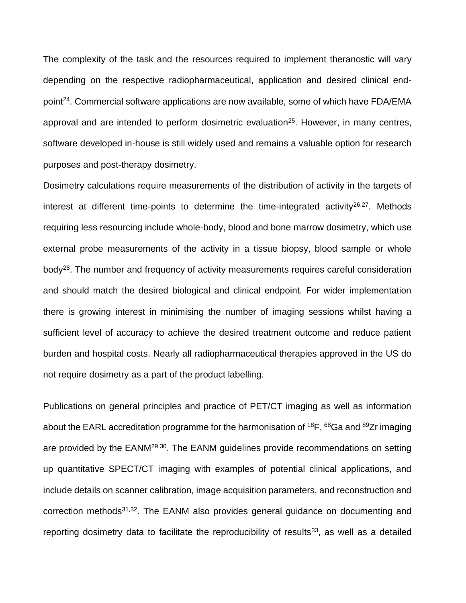The complexity of the task and the resources required to implement theranostic will vary depending on the respective radiopharmaceutical, application and desired clinical endpoint<sup>24</sup>. Commercial software applications are now available, some of which have FDA/EMA approval and are intended to perform dosimetric evaluation<sup>25</sup>. However, in many centres, software developed in-house is still widely used and remains a valuable option for research purposes and post-therapy dosimetry.

Dosimetry calculations require measurements of the distribution of activity in the targets of interest at different time-points to determine the time-integrated activity $26.27$ . Methods requiring less resourcing include whole-body, blood and bone marrow dosimetry, which use external probe measurements of the activity in a tissue biopsy, blood sample or whole body<sup>28</sup>. The number and frequency of activity measurements requires careful consideration and should match the desired biological and clinical endpoint. For wider implementation there is growing interest in minimising the number of imaging sessions whilst having a sufficient level of accuracy to achieve the desired treatment outcome and reduce patient burden and hospital costs. Nearly all radiopharmaceutical therapies approved in the US do not require dosimetry as a part of the product labelling.

Publications on general principles and practice of PET/CT imaging as well as information about the EARL accreditation programme for the harmonisation of <sup>18</sup>F, <sup>68</sup>Ga and <sup>89</sup>Zr imaging are provided by the EANM<sup>29,30</sup>. The EANM guidelines provide recommendations on setting up quantitative SPECT/CT imaging with examples of potential clinical applications, and include details on scanner calibration, image acquisition parameters, and reconstruction and correction methods<sup>31,32</sup>. The EANM also provides general guidance on documenting and reporting dosimetry data to facilitate the reproducibility of results $33$ , as well as a detailed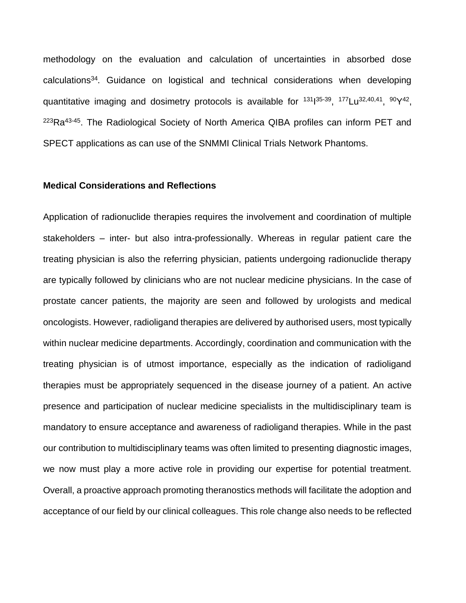methodology on the evaluation and calculation of uncertainties in absorbed dose calculations<sup>34</sup>. Guidance on logistical and technical considerations when developing quantitative imaging and dosimetry protocols is available for <sup>131</sup>1<sup>35-39</sup>, <sup>177</sup>Lu<sup>32,40,41</sup>, <sup>90</sup>Y<sup>42</sup>, <sup>223</sup>Ra<sup>43-45</sup>. The Radiological Society of North America QIBA profiles can inform PET and SPECT applications as can use of the SNMMI Clinical Trials Network Phantoms.

### **Medical Considerations and Reflections**

Application of radionuclide therapies requires the involvement and coordination of multiple stakeholders – inter- but also intra-professionally. Whereas in regular patient care the treating physician is also the referring physician, patients undergoing radionuclide therapy are typically followed by clinicians who are not nuclear medicine physicians. In the case of prostate cancer patients, the majority are seen and followed by urologists and medical oncologists. However, radioligand therapies are delivered by authorised users, most typically within nuclear medicine departments. Accordingly, coordination and communication with the treating physician is of utmost importance, especially as the indication of radioligand therapies must be appropriately sequenced in the disease journey of a patient. An active presence and participation of nuclear medicine specialists in the multidisciplinary team is mandatory to ensure acceptance and awareness of radioligand therapies. While in the past our contribution to multidisciplinary teams was often limited to presenting diagnostic images, we now must play a more active role in providing our expertise for potential treatment. Overall, a proactive approach promoting theranostics methods will facilitate the adoption and acceptance of our field by our clinical colleagues. This role change also needs to be reflected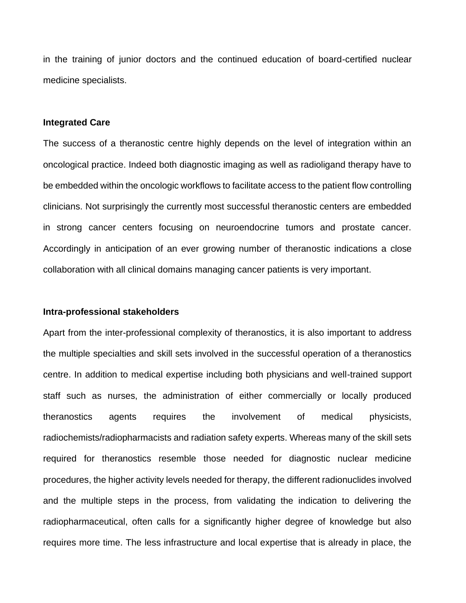in the training of junior doctors and the continued education of board-certified nuclear medicine specialists.

#### **Integrated Care**

The success of a theranostic centre highly depends on the level of integration within an oncological practice. Indeed both diagnostic imaging as well as radioligand therapy have to be embedded within the oncologic workflows to facilitate access to the patient flow controlling clinicians. Not surprisingly the currently most successful theranostic centers are embedded in strong cancer centers focusing on neuroendocrine tumors and prostate cancer. Accordingly in anticipation of an ever growing number of theranostic indications a close collaboration with all clinical domains managing cancer patients is very important.

### **Intra-professional stakeholders**

Apart from the inter-professional complexity of theranostics, it is also important to address the multiple specialties and skill sets involved in the successful operation of a theranostics centre. In addition to medical expertise including both physicians and well-trained support staff such as nurses, the administration of either commercially or locally produced theranostics agents requires the involvement of medical physicists, radiochemists/radiopharmacists and radiation safety experts. Whereas many of the skill sets required for theranostics resemble those needed for diagnostic nuclear medicine procedures, the higher activity levels needed for therapy, the different radionuclides involved and the multiple steps in the process, from validating the indication to delivering the radiopharmaceutical, often calls for a significantly higher degree of knowledge but also requires more time. The less infrastructure and local expertise that is already in place, the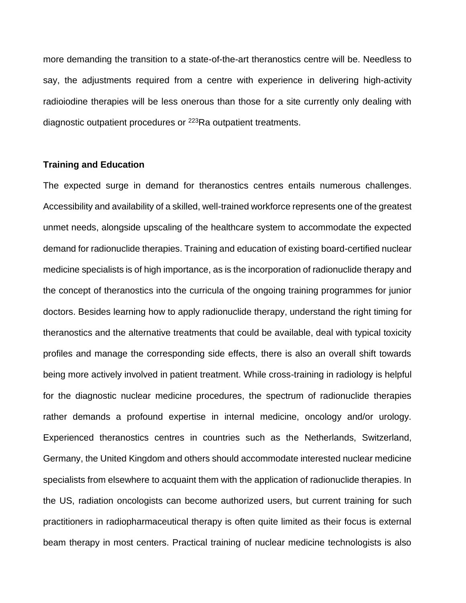more demanding the transition to a state-of-the-art theranostics centre will be. Needless to say, the adjustments required from a centre with experience in delivering high-activity radioiodine therapies will be less onerous than those for a site currently only dealing with diagnostic outpatient procedures or <sup>223</sup>Ra outpatient treatments.

# **Training and Education**

The expected surge in demand for theranostics centres entails numerous challenges. Accessibility and availability of a skilled, well-trained workforce represents one of the greatest unmet needs, alongside upscaling of the healthcare system to accommodate the expected demand for radionuclide therapies. Training and education of existing board-certified nuclear medicine specialists is of high importance, as is the incorporation of radionuclide therapy and the concept of theranostics into the curricula of the ongoing training programmes for junior doctors. Besides learning how to apply radionuclide therapy, understand the right timing for theranostics and the alternative treatments that could be available, deal with typical toxicity profiles and manage the corresponding side effects, there is also an overall shift towards being more actively involved in patient treatment. While cross-training in radiology is helpful for the diagnostic nuclear medicine procedures, the spectrum of radionuclide therapies rather demands a profound expertise in internal medicine, oncology and/or urology. Experienced theranostics centres in countries such as the Netherlands, Switzerland, Germany, the United Kingdom and others should accommodate interested nuclear medicine specialists from elsewhere to acquaint them with the application of radionuclide therapies. In the US, radiation oncologists can become authorized users, but current training for such practitioners in radiopharmaceutical therapy is often quite limited as their focus is external beam therapy in most centers. Practical training of nuclear medicine technologists is also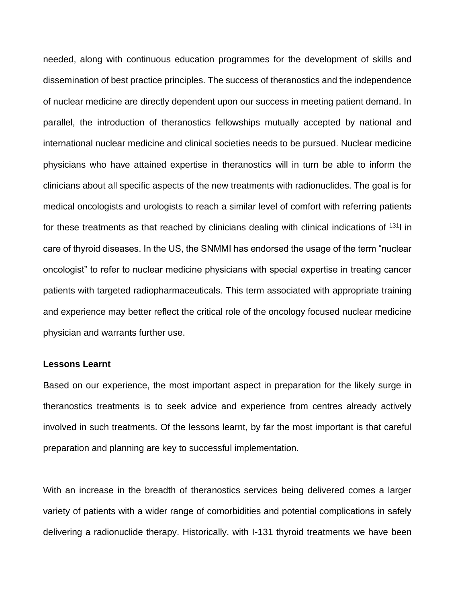needed, along with continuous education programmes for the development of skills and dissemination of best practice principles. The success of theranostics and the independence of nuclear medicine are directly dependent upon our success in meeting patient demand. In parallel, the introduction of theranostics fellowships mutually accepted by national and international nuclear medicine and clinical societies needs to be pursued. Nuclear medicine physicians who have attained expertise in theranostics will in turn be able to inform the clinicians about all specific aspects of the new treatments with radionuclides. The goal is for medical oncologists and urologists to reach a similar level of comfort with referring patients for these treatments as that reached by clinicians dealing with clinical indications of  $131$  in care of thyroid diseases. In the US, the SNMMI has endorsed the usage of the term "nuclear oncologist" to refer to nuclear medicine physicians with special expertise in treating cancer patients with targeted radiopharmaceuticals. This term associated with appropriate training and experience may better reflect the critical role of the oncology focused nuclear medicine physician and warrants further use.

# **Lessons Learnt**

Based on our experience, the most important aspect in preparation for the likely surge in theranostics treatments is to seek advice and experience from centres already actively involved in such treatments. Of the lessons learnt, by far the most important is that careful preparation and planning are key to successful implementation.

With an increase in the breadth of theranostics services being delivered comes a larger variety of patients with a wider range of comorbidities and potential complications in safely delivering a radionuclide therapy. Historically, with I-131 thyroid treatments we have been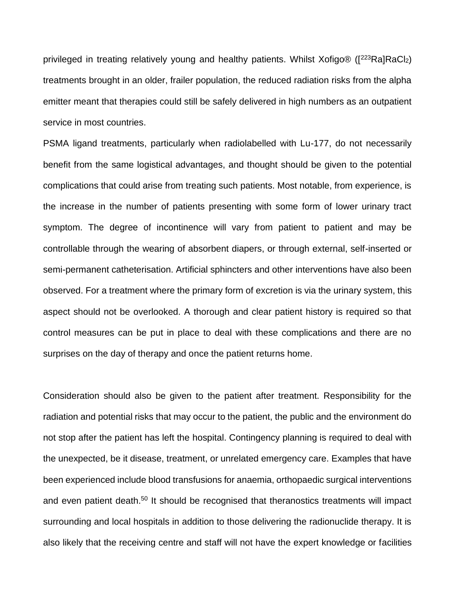privileged in treating relatively young and healthy patients. Whilst Xofigo® ( $[^{223}Ra]RaCl<sub>2</sub>$ ) treatments brought in an older, frailer population, the reduced radiation risks from the alpha emitter meant that therapies could still be safely delivered in high numbers as an outpatient service in most countries.

PSMA ligand treatments, particularly when radiolabelled with Lu-177, do not necessarily benefit from the same logistical advantages, and thought should be given to the potential complications that could arise from treating such patients. Most notable, from experience, is the increase in the number of patients presenting with some form of lower urinary tract symptom. The degree of incontinence will vary from patient to patient and may be controllable through the wearing of absorbent diapers, or through external, self-inserted or semi-permanent catheterisation. Artificial sphincters and other interventions have also been observed. For a treatment where the primary form of excretion is via the urinary system, this aspect should not be overlooked. A thorough and clear patient history is required so that control measures can be put in place to deal with these complications and there are no surprises on the day of therapy and once the patient returns home.

Consideration should also be given to the patient after treatment. Responsibility for the radiation and potential risks that may occur to the patient, the public and the environment do not stop after the patient has left the hospital. Contingency planning is required to deal with the unexpected, be it disease, treatment, or unrelated emergency care. Examples that have been experienced include blood transfusions for anaemia, orthopaedic surgical interventions and even patient death.<sup>50</sup> It should be recognised that theranostics treatments will impact surrounding and local hospitals in addition to those delivering the radionuclide therapy. It is also likely that the receiving centre and staff will not have the expert knowledge or facilities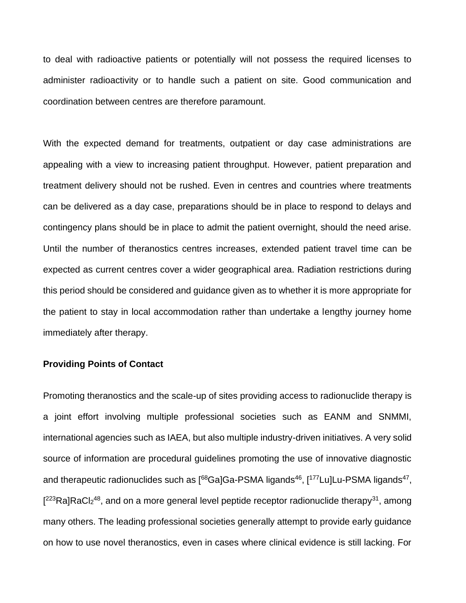to deal with radioactive patients or potentially will not possess the required licenses to administer radioactivity or to handle such a patient on site. Good communication and coordination between centres are therefore paramount.

With the expected demand for treatments, outpatient or day case administrations are appealing with a view to increasing patient throughput. However, patient preparation and treatment delivery should not be rushed. Even in centres and countries where treatments can be delivered as a day case, preparations should be in place to respond to delays and contingency plans should be in place to admit the patient overnight, should the need arise. Until the number of theranostics centres increases, extended patient travel time can be expected as current centres cover a wider geographical area. Radiation restrictions during this period should be considered and guidance given as to whether it is more appropriate for the patient to stay in local accommodation rather than undertake a lengthy journey home immediately after therapy.

# **Providing Points of Contact**

Promoting theranostics and the scale-up of sites providing access to radionuclide therapy is a joint effort involving multiple professional societies such as EANM and SNMMI, international agencies such as IAEA, but also multiple industry-driven initiatives. A very solid source of information are procedural guidelines promoting the use of innovative diagnostic and therapeutic radionuclides such as [<sup>68</sup>Ga]Ga-PSMA ligands<sup>46</sup>, [<sup>177</sup>Lu]Lu-PSMA ligands<sup>47</sup>,  $[{}^{223}$ Ra]RaCl<sub>2</sub><sup>48</sup>, and on a more general level peptide receptor radionuclide therapy<sup>31</sup>, among many others. The leading professional societies generally attempt to provide early guidance on how to use novel theranostics, even in cases where clinical evidence is still lacking. For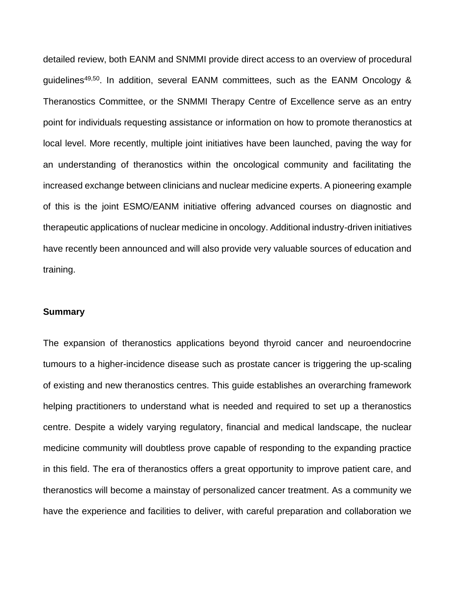detailed review, both EANM and SNMMI provide direct access to an overview of procedural quidelines<sup>49,50</sup>. In addition, several EANM committees, such as the EANM Oncology & Theranostics Committee, or the SNMMI Therapy Centre of Excellence serve as an entry point for individuals requesting assistance or information on how to promote theranostics at local level. More recently, multiple joint initiatives have been launched, paving the way for an understanding of theranostics within the oncological community and facilitating the increased exchange between clinicians and nuclear medicine experts. A pioneering example of this is the joint ESMO/EANM initiative offering advanced courses on diagnostic and therapeutic applications of nuclear medicine in oncology. Additional industry-driven initiatives have recently been announced and will also provide very valuable sources of education and training.

#### **Summary**

The expansion of theranostics applications beyond thyroid cancer and neuroendocrine tumours to a higher-incidence disease such as prostate cancer is triggering the up-scaling of existing and new theranostics centres. This guide establishes an overarching framework helping practitioners to understand what is needed and required to set up a theranostics centre. Despite a widely varying regulatory, financial and medical landscape, the nuclear medicine community will doubtless prove capable of responding to the expanding practice in this field. The era of theranostics offers a great opportunity to improve patient care, and theranostics will become a mainstay of personalized cancer treatment. As a community we have the experience and facilities to deliver, with careful preparation and collaboration we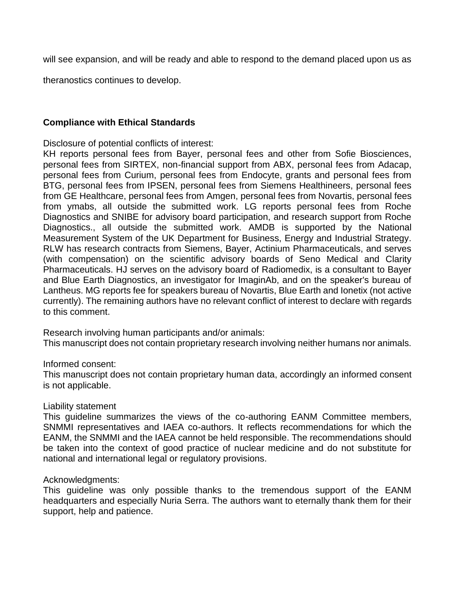will see expansion, and will be ready and able to respond to the demand placed upon us as

theranostics continues to develop.

# **Compliance with Ethical Standards**

Disclosure of potential conflicts of interest:

KH reports personal fees from Bayer, personal fees and other from Sofie Biosciences, personal fees from SIRTEX, non-financial support from ABX, personal fees from Adacap, personal fees from Curium, personal fees from Endocyte, grants and personal fees from BTG, personal fees from IPSEN, personal fees from Siemens Healthineers, personal fees from GE Healthcare, personal fees from Amgen, personal fees from Novartis, personal fees from ymabs, all outside the submitted work. LG reports personal fees from Roche Diagnostics and SNIBE for advisory board participation, and research support from Roche Diagnostics., all outside the submitted work. AMDB is supported by the National Measurement System of the UK Department for Business, Energy and Industrial Strategy. RLW has research contracts from Siemens, Bayer, Actinium Pharmaceuticals, and serves (with compensation) on the scientific advisory boards of Seno Medical and Clarity Pharmaceuticals. HJ serves on the advisory board of Radiomedix, is a consultant to Bayer and Blue Earth Diagnostics, an investigator for ImaginAb, and on the speaker's bureau of Lantheus. MG reports fee for speakers bureau of Novartis, Blue Earth and Ionetix (not active currently). The remaining authors have no relevant conflict of interest to declare with regards to this comment.

Research involving human participants and/or animals: This manuscript does not contain proprietary research involving neither humans nor animals.

# Informed consent:

This manuscript does not contain proprietary human data, accordingly an informed consent is not applicable.

# Liability statement

This guideline summarizes the views of the co-authoring EANM Committee members, SNMMI representatives and IAEA co-authors. It reflects recommendations for which the EANM, the SNMMI and the IAEA cannot be held responsible. The recommendations should be taken into the context of good practice of nuclear medicine and do not substitute for national and international legal or regulatory provisions.

# Acknowledgments:

This guideline was only possible thanks to the tremendous support of the EANM headquarters and especially Nuria Serra. The authors want to eternally thank them for their support, help and patience.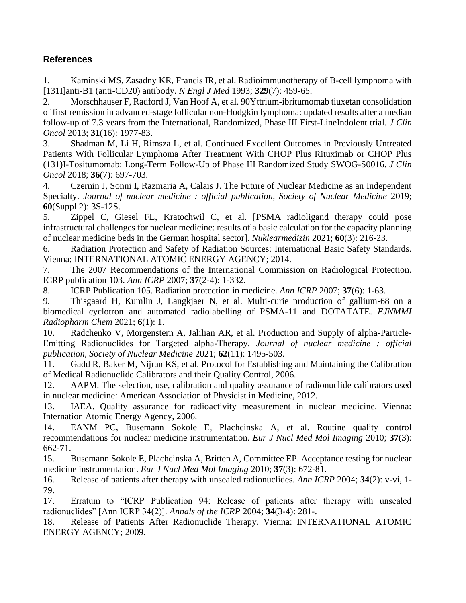# **References**

1. Kaminski MS, Zasadny KR, Francis IR, et al. Radioimmunotherapy of B-cell lymphoma with [131I]anti-B1 (anti-CD20) antibody. *N Engl J Med* 1993; **329**(7): 459-65.

2. Morschhauser F, Radford J, Van Hoof A, et al. 90Yttrium-ibritumomab tiuxetan consolidation of first remission in advanced-stage follicular non-Hodgkin lymphoma: updated results after a median follow-up of 7.3 years from the International, Randomized, Phase III First-LineIndolent trial. *J Clin Oncol* 2013; **31**(16): 1977-83.

3. Shadman M, Li H, Rimsza L, et al. Continued Excellent Outcomes in Previously Untreated Patients With Follicular Lymphoma After Treatment With CHOP Plus Rituximab or CHOP Plus (131)I-Tositumomab: Long-Term Follow-Up of Phase III Randomized Study SWOG-S0016. *J Clin Oncol* 2018; **36**(7): 697-703.

4. Czernin J, Sonni I, Razmaria A, Calais J. The Future of Nuclear Medicine as an Independent Specialty. *Journal of nuclear medicine : official publication, Society of Nuclear Medicine* 2019; **60**(Suppl 2): 3S-12S.

5. Zippel C, Giesel FL, Kratochwil C, et al. [PSMA radioligand therapy could pose infrastructural challenges for nuclear medicine: results of a basic calculation for the capacity planning of nuclear medicine beds in the German hospital sector]. *Nuklearmedizin* 2021; **60**(3): 216-23.

6. Radiation Protection and Safety of Radiation Sources: International Basic Safety Standards. Vienna: INTERNATIONAL ATOMIC ENERGY AGENCY; 2014.

7. The 2007 Recommendations of the International Commission on Radiological Protection. ICRP publication 103. *Ann ICRP* 2007; **37**(2-4): 1-332.

8. ICRP Publication 105. Radiation protection in medicine. *Ann ICRP* 2007; **37**(6): 1-63.

9. Thisgaard H, Kumlin J, Langkjaer N, et al. Multi-curie production of gallium-68 on a biomedical cyclotron and automated radiolabelling of PSMA-11 and DOTATATE. *EJNMMI Radiopharm Chem* 2021; **6**(1): 1.

10. Radchenko V, Morgenstern A, Jalilian AR, et al. Production and Supply of alpha-Particle-Emitting Radionuclides for Targeted alpha-Therapy. *Journal of nuclear medicine : official publication, Society of Nuclear Medicine* 2021; **62**(11): 1495-503.

11. Gadd R, Baker M, Nijran KS, et al. Protocol for Establishing and Maintaining the Calibration of Medical Radionuclide Calibrators and their Quality Control, 2006.

12. AAPM. The selection, use, calibration and quality assurance of radionuclide calibrators used in nuclear medicine: American Association of Physicist in Medicine, 2012.

13. IAEA. Quality assurance for radioactivity measurement in nuclear medicine. Vienna: Internation Atomic Energy Agency, 2006.

14. EANM PC, Busemann Sokole E, Plachcinska A, et al. Routine quality control recommendations for nuclear medicine instrumentation. *Eur J Nucl Med Mol Imaging* 2010; **37**(3): 662-71.

15. Busemann Sokole E, Plachcinska A, Britten A, Committee EP. Acceptance testing for nuclear medicine instrumentation. *Eur J Nucl Med Mol Imaging* 2010; **37**(3): 672-81.

16. Release of patients after therapy with unsealed radionuclides. *Ann ICRP* 2004; **34**(2): v-vi, 1- 79.

17. Erratum to "ICRP Publication 94: Release of patients after therapy with unsealed radionuclides" [Ann ICRP 34(2)]. *Annals of the ICRP* 2004; **34**(3-4): 281-.

18. Release of Patients After Radionuclide Therapy. Vienna: INTERNATIONAL ATOMIC ENERGY AGENCY; 2009.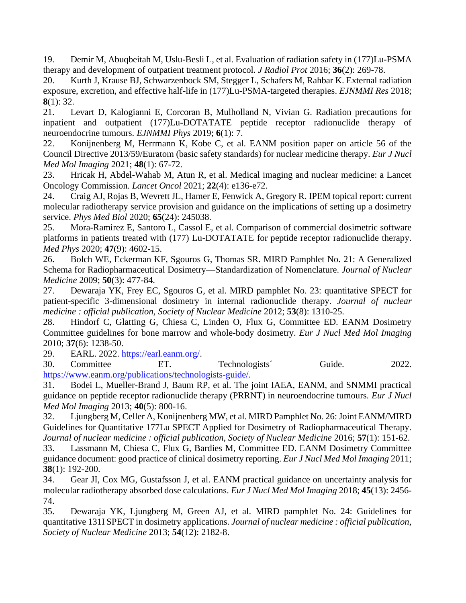19. Demir M, Abuqbeitah M, Uslu-Besli L, et al. Evaluation of radiation safety in (177)Lu-PSMA therapy and development of outpatient treatment protocol. *J Radiol Prot* 2016; **36**(2): 269-78.

20. Kurth J, Krause BJ, Schwarzenbock SM, Stegger L, Schafers M, Rahbar K. External radiation exposure, excretion, and effective half-life in (177)Lu-PSMA-targeted therapies. *EJNMMI Res* 2018; **8**(1): 32.

21. Levart D, Kalogianni E, Corcoran B, Mulholland N, Vivian G. Radiation precautions for inpatient and outpatient (177)Lu-DOTATATE peptide receptor radionuclide therapy of neuroendocrine tumours. *EJNMMI Phys* 2019; **6**(1): 7.

22. Konijnenberg M, Herrmann K, Kobe C, et al. EANM position paper on article 56 of the Council Directive 2013/59/Euratom (basic safety standards) for nuclear medicine therapy. *Eur J Nucl Med Mol Imaging* 2021; **48**(1): 67-72.

23. Hricak H, Abdel-Wahab M, Atun R, et al. Medical imaging and nuclear medicine: a Lancet Oncology Commission. *Lancet Oncol* 2021; **22**(4): e136-e72.

24. Craig AJ, Rojas B, Wevrett JL, Hamer E, Fenwick A, Gregory R. IPEM topical report: current molecular radiotherapy service provision and guidance on the implications of setting up a dosimetry service. *Phys Med Biol* 2020; **65**(24): 245038.

25. Mora-Ramirez E, Santoro L, Cassol E, et al. Comparison of commercial dosimetric software platforms in patients treated with (177) Lu-DOTATATE for peptide receptor radionuclide therapy. *Med Phys* 2020; **47**(9): 4602-15.

26. Bolch WE, Eckerman KF, Sgouros G, Thomas SR. MIRD Pamphlet No. 21: A Generalized Schema for Radiopharmaceutical Dosimetry—Standardization of Nomenclature. *Journal of Nuclear Medicine* 2009; **50**(3): 477-84.

27. Dewaraja YK, Frey EC, Sgouros G, et al. MIRD pamphlet No. 23: quantitative SPECT for patient-specific 3-dimensional dosimetry in internal radionuclide therapy. *Journal of nuclear medicine : official publication, Society of Nuclear Medicine* 2012; **53**(8): 1310-25.

28. Hindorf C, Glatting G, Chiesa C, Linden O, Flux G, Committee ED. EANM Dosimetry Committee guidelines for bone marrow and whole-body dosimetry. *Eur J Nucl Med Mol Imaging* 2010; **37**(6): 1238-50.

29. EARL. 2022. [https://earl.eanm.org/.](https://earl.eanm.org/)

30. Committee ET. Technologists´ Guide. 2022. [https://www.eanm.org/publications/technologists-guide/.](https://www.eanm.org/publications/technologists-guide/)

31. Bodei L, Mueller-Brand J, Baum RP, et al. The joint IAEA, EANM, and SNMMI practical guidance on peptide receptor radionuclide therapy (PRRNT) in neuroendocrine tumours. *Eur J Nucl Med Mol Imaging* 2013; **40**(5): 800-16.

32. Ljungberg M, Celler A, Konijnenberg MW, et al. MIRD Pamphlet No. 26: Joint EANM/MIRD Guidelines for Quantitative 177Lu SPECT Applied for Dosimetry of Radiopharmaceutical Therapy. *Journal of nuclear medicine : official publication, Society of Nuclear Medicine* 2016; **57**(1): 151-62.

33. Lassmann M, Chiesa C, Flux G, Bardies M, Committee ED. EANM Dosimetry Committee guidance document: good practice of clinical dosimetry reporting. *Eur J Nucl Med Mol Imaging* 2011; **38**(1): 192-200.

34. Gear JI, Cox MG, Gustafsson J, et al. EANM practical guidance on uncertainty analysis for molecular radiotherapy absorbed dose calculations. *Eur J Nucl Med Mol Imaging* 2018; **45**(13): 2456- 74.

35. Dewaraja YK, Ljungberg M, Green AJ, et al. MIRD pamphlet No. 24: Guidelines for quantitative 131I SPECT in dosimetry applications. *Journal of nuclear medicine : official publication, Society of Nuclear Medicine* 2013; **54**(12): 2182-8.